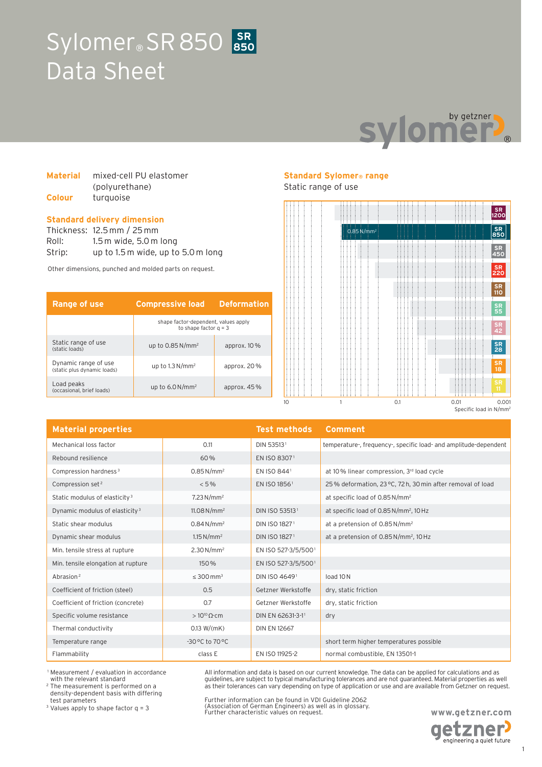# Sylomer<sup>®</sup> SR 850<sup>SR</sup> Data Sheet **850**



### **Material** mixed-cell PU elastomer (polyurethane) **Colour** turquoise

#### **Standard delivery dimension**

Thickness: 12.5 mm / 25 mm Roll: 1.5 m wide, 5.0 m long Strip: up to 1.5 m wide, up to 5.0 m long

Other dimensions, punched and molded parts on request.

| <b>Range of use</b>                                 | <b>Compressive load</b>                                         | <b>Deformation</b> |
|-----------------------------------------------------|-----------------------------------------------------------------|--------------------|
|                                                     | shape factor-dependent, values apply<br>to shape factor $q = 3$ |                    |
| Static range of use<br>(static loads)               | up to $0.85$ N/mm <sup>2</sup>                                  | approx. $10\%$     |
| Dynamic range of use<br>(static plus dynamic loads) | up to $1.3 N/mm^2$                                              | approx. 20%        |
| Load peaks<br>(occasional, brief loads)             | up to $6.0\,\mathrm{N/mm^2}$                                    | approx. $45\%$     |

# **Standard Sylomer® range**

Static range of use



| <b>Material properties</b>                 |                            | <b>Test methods</b>       | <b>Comment</b>                                                   |
|--------------------------------------------|----------------------------|---------------------------|------------------------------------------------------------------|
| Mechanical loss factor                     | 0.11                       | DIN 53513 <sup>1</sup>    | temperature-, frequency-, specific load- and amplitude-dependent |
| Rebound resilience                         | 60%                        | EN ISO 83071              |                                                                  |
| Compression hardness <sup>3</sup>          | $0.85$ N/mm <sup>2</sup>   | EN ISO 8441               | at 10% linear compression, 3rd load cycle                        |
| Compression set <sup>2</sup>               | < 5%                       | EN ISO 18561              | 25% deformation, 23 °C, 72 h, 30 min after removal of load       |
| Static modulus of elasticity <sup>3</sup>  | 7.23 N/mm <sup>2</sup>     |                           | at specific load of 0.85 N/mm <sup>2</sup>                       |
| Dynamic modulus of elasticity <sup>3</sup> | 11.08 N/mm <sup>2</sup>    | DIN ISO 535131            | at specific load of 0.85 N/mm <sup>2</sup> , 10 Hz               |
| Static shear modulus                       | 0.84 N/mm <sup>2</sup>     | DIN ISO 18271             | at a pretension of 0.85 N/mm <sup>2</sup>                        |
| Dynamic shear modulus                      | 1.15 N/mm <sup>2</sup>     | DIN ISO 1827 <sup>1</sup> | at a pretension of 0.85 N/mm <sup>2</sup> , 10 Hz                |
| Min. tensile stress at rupture             | 2.30 N/mm <sup>2</sup>     | EN ISO 527-3/5/5001       |                                                                  |
| Min. tensile elongation at rupture         | 150%                       | EN ISO 527-3/5/5001       |                                                                  |
| Abrasion <sup>2</sup>                      | $\leq 300$ mm <sup>3</sup> | DIN ISO 46491             | load 10N                                                         |
| Coefficient of friction (steel)            | 0.5                        | Getzner Werkstoffe        | dry, static friction                                             |
| Coefficient of friction (concrete)         | 0.7                        | Getzner Werkstoffe        | dry, static friction                                             |
| Specific volume resistance                 | $>10^{10} \Omega$ ·cm      | DIN EN 62631-3-11         | dry                                                              |
| Thermal conductivity                       | 0.13 W/(mK)                | <b>DIN EN 12667</b>       |                                                                  |
| Temperature range                          | -30 °C to 70 °C            |                           | short term higher temperatures possible                          |
| Flammability                               | class E                    | EN ISO 11925-2            | normal combustible, EN 13501-1                                   |

 1 Measurement / evaluation in accordance with the relevant standard

2 The measurement is performed on a density-dependent basis with differing test parameters

3 Values apply to shape factor q = 3

Further information can be found in VDI Guideline 2062 (Association of German Engineers) as well as in glossary. Further characteristic values on request.

All information and data is based on our current knowledge. The data can be applied for calculations and as guidelines, are subject to typical manufacturing tolerances and are not guaranteed. Material properties as well as their tolerances can vary depending on type of application or use and are available from Getzner on request.



engineering a quiet future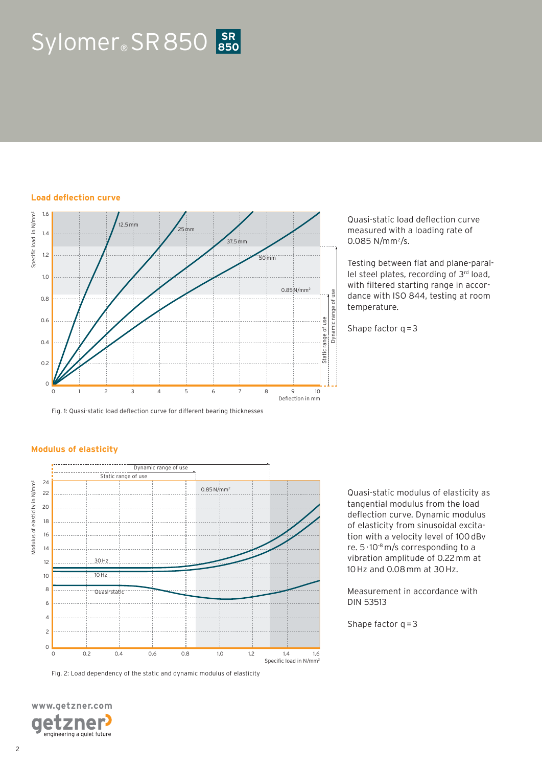# $Sylomer<sub>®</sub> SR 850$   $sR$

#### **Load deflection curve**



Fig. 1: Quasi-static load deflection curve for different bearing thicknesses

## Quasi-static load deflection curve measured with a loading rate of 0.085 N/mm<sup>2</sup>/s.

Testing between flat and plane-parallel steel plates, recording of 3rd load, with filtered starting range in accordance with ISO 844, testing at room temperature.

Shape factor  $q = 3$ 

#### **Modulus of elasticity**



Fig. 2: Load dependency of the static and dynamic modulus of elasticity

Quasi-static modulus of elasticity as tangential modulus from the load deflection curve. Dynamic modulus of elasticity from sinusoidal excitation with a velocity level of 100 dBv re. 5 · 10-8 m/s corresponding to a vibration amplitude of 0.22 mm at 10 Hz and 0.08 mm at 30 Hz.

Measurement in accordance with DIN 53513

Shape factor  $q = 3$ 

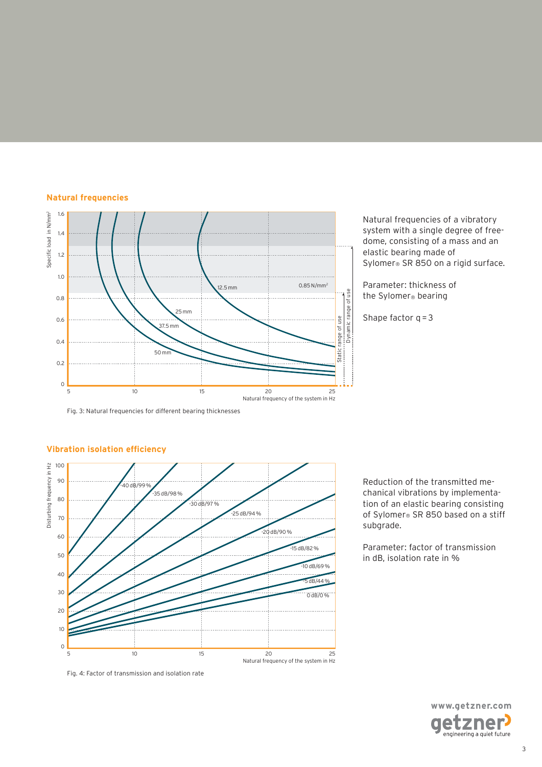#### **Natural frequencies**



Natural frequencies of a vibratory system with a single degree of freedome, consisting of a mass and an elastic bearing made of Sylomer<sup>®</sup> SR 850 on a rigid surface.

Parameter: thickness of the Sylomer® bearing

Shape factor  $q = 3$ 

Fig. 3: Natural frequencies for different bearing thicknesses



# **Vibration isolation efficiency**

Reduction of the transmitted mechanical vibrations by implementation of an elastic bearing consisting of Sylomer® SR 850 based on a stiff subgrade.

Parameter: factor of transmission in dB, isolation rate in %



#### Fig. 4: Factor of transmission and isolation rate